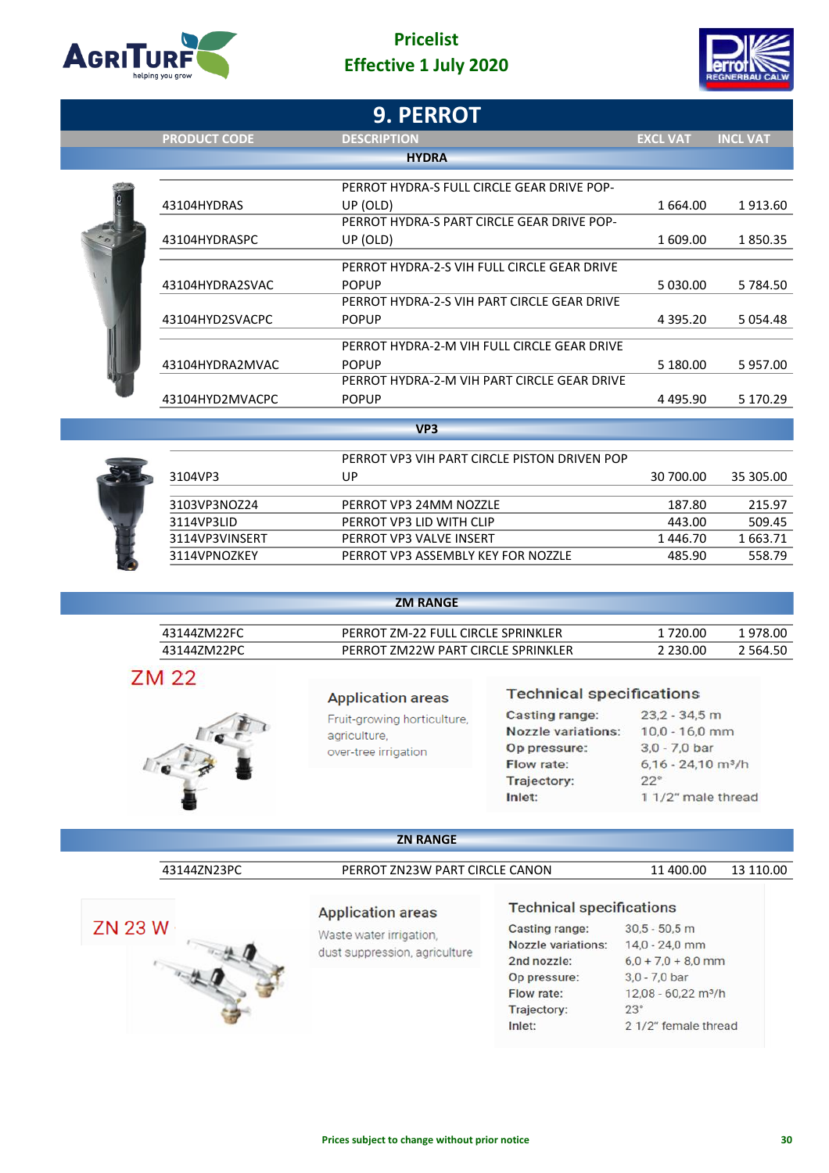

## **Pricelist Effective 1 July 2020**



| <b>INCL VAT</b>                                               |
|---------------------------------------------------------------|
|                                                               |
|                                                               |
|                                                               |
|                                                               |
| 1913.60                                                       |
|                                                               |
| 1850.35                                                       |
|                                                               |
| 5784.50                                                       |
|                                                               |
| 5 0 5 4 . 4 8                                                 |
|                                                               |
|                                                               |
| 5957.00                                                       |
| 5 170.29                                                      |
|                                                               |
|                                                               |
|                                                               |
| 35 305.00                                                     |
|                                                               |
| 215.97                                                        |
| 509.45                                                        |
| 1663.71                                                       |
| 558.79                                                        |
| 1 609.00<br>5 030.00<br>4 3 9 5 . 2 0<br>4495.90<br>30 700.00 |

| 43144ZM22FC | PERROT ZM-22 FULL CIRCLE SPRINKLER | 1 720.00 | 1 978.00  |
|-------------|------------------------------------|----------|-----------|
| 43144ZM22PC | PERROT ZM22W PART CIRCLE SPRINKLER | 2 230.00 | 2 5 64.50 |

**ZM RANGE**

**ZM 22** 



### **Application areas**

Fruit-growing horticulture, agriculture, over-tree irrigation

### **Technical specifications**

| Casting range:            | $23.2 - 34.5$ m                  |  |  |  |  |  |
|---------------------------|----------------------------------|--|--|--|--|--|
| <b>Nozzle variations:</b> | $10,0 - 16,0$ mm                 |  |  |  |  |  |
| Op pressure:              | $3.0 - 7.0$ bar                  |  |  |  |  |  |
| Flow rate:                | $6,16 - 24,10$ m <sup>3</sup> /h |  |  |  |  |  |
| Trajectory:               | $22^{\circ}$                     |  |  |  |  |  |
| Inlet:                    | 1 1/2" male thread               |  |  |  |  |  |

## **ZN RANGE**



#### **Application areas**

Waste water irrigation, dust suppression, agriculture

### **Technical specifications**

Casting range: Nozzle variations: 2nd nozzle: Op pressure: Flow rate: Trajectory: Inlet:

 $30,5 - 50,5$  m 14,0 - 24,0 mm  $6,0 + 7,0 + 8,0$  mm

3,0 - 7,0 bar